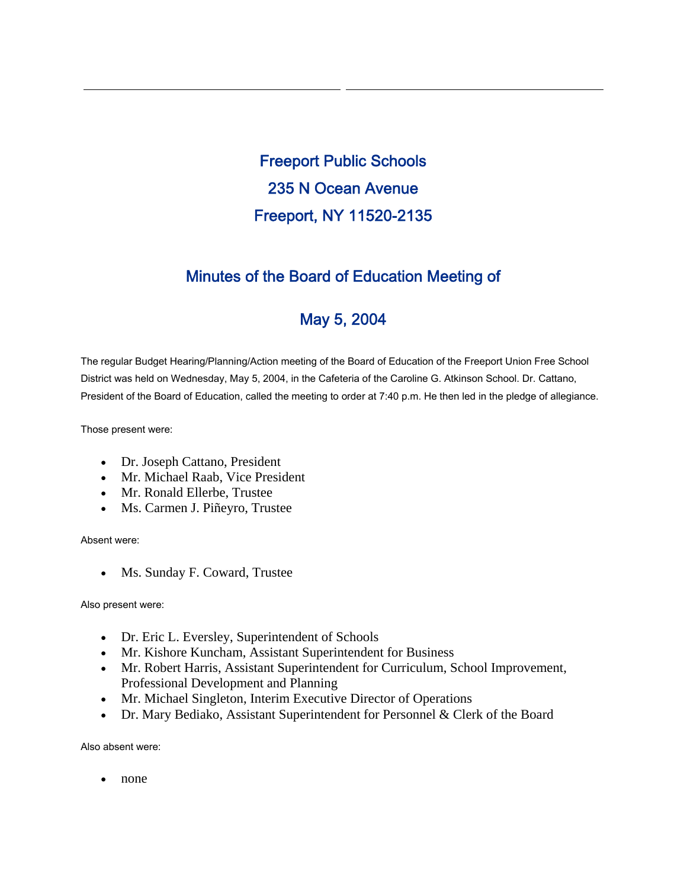Freeport Public Schools 235 N Ocean Avenue Freeport, NY 11520-2135

## Minutes of the Board of Education Meeting of

# May 5, 2004

The regular Budget Hearing/Planning/Action meeting of the Board of Education of the Freeport Union Free School District was held on Wednesday, May 5, 2004, in the Cafeteria of the Caroline G. Atkinson School. Dr. Cattano, President of the Board of Education, called the meeting to order at 7:40 p.m. He then led in the pledge of allegiance.

Those present were:

- Dr. Joseph Cattano, President
- Mr. Michael Raab, Vice President
- Mr. Ronald Ellerbe, Trustee
- Ms. Carmen J. Piñeyro, Trustee

Absent were:

• Ms. Sunday F. Coward, Trustee

Also present were:

- Dr. Eric L. Eversley, Superintendent of Schools
- Mr. Kishore Kuncham, Assistant Superintendent for Business
- Mr. Robert Harris, Assistant Superintendent for Curriculum, School Improvement, Professional Development and Planning
- Mr. Michael Singleton, Interim Executive Director of Operations
- Dr. Mary Bediako, Assistant Superintendent for Personnel & Clerk of the Board

Also absent were:

• none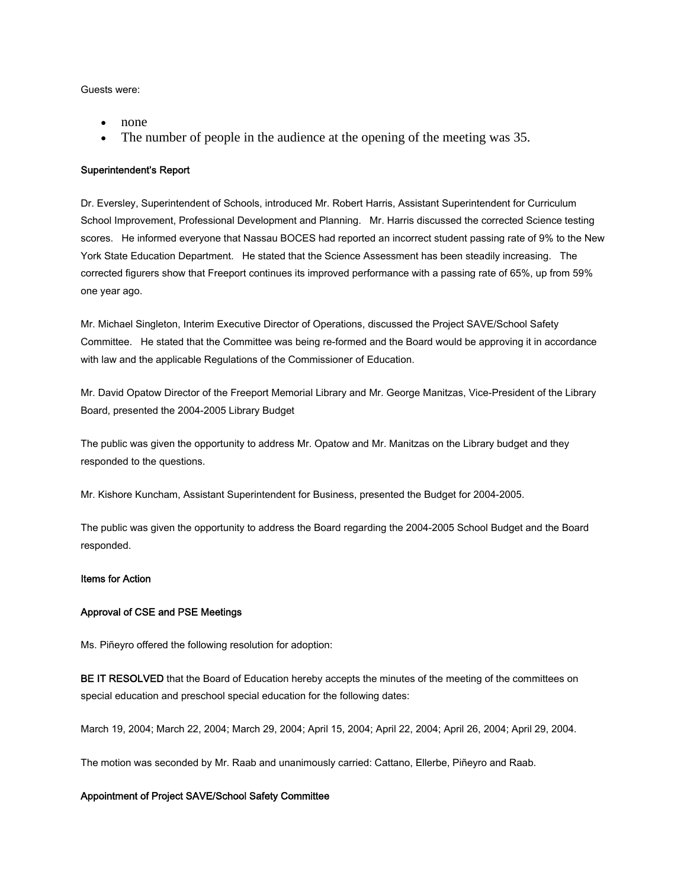Guests were:

- none
- The number of people in the audience at the opening of the meeting was 35.

#### Superintendent's Report

Dr. Eversley, Superintendent of Schools, introduced Mr. Robert Harris, Assistant Superintendent for Curriculum School Improvement, Professional Development and Planning. Mr. Harris discussed the corrected Science testing scores. He informed everyone that Nassau BOCES had reported an incorrect student passing rate of 9% to the New York State Education Department. He stated that the Science Assessment has been steadily increasing. The corrected figurers show that Freeport continues its improved performance with a passing rate of 65%, up from 59% one year ago.

Mr. Michael Singleton, Interim Executive Director of Operations, discussed the Project SAVE/School Safety Committee. He stated that the Committee was being re-formed and the Board would be approving it in accordance with law and the applicable Regulations of the Commissioner of Education.

Mr. David Opatow Director of the Freeport Memorial Library and Mr. George Manitzas, Vice-President of the Library Board, presented the 2004-2005 Library Budget

The public was given the opportunity to address Mr. Opatow and Mr. Manitzas on the Library budget and they responded to the questions.

Mr. Kishore Kuncham, Assistant Superintendent for Business, presented the Budget for 2004-2005.

The public was given the opportunity to address the Board regarding the 2004-2005 School Budget and the Board responded.

#### Items for Action

#### Approval of CSE and PSE Meetings

Ms. Piñeyro offered the following resolution for adoption:

BE IT RESOLVED that the Board of Education hereby accepts the minutes of the meeting of the committees on special education and preschool special education for the following dates:

March 19, 2004; March 22, 2004; March 29, 2004; April 15, 2004; April 22, 2004; April 26, 2004; April 29, 2004.

The motion was seconded by Mr. Raab and unanimously carried: Cattano, Ellerbe, Piñeyro and Raab.

#### Appointment of Project SAVE/School Safety Committee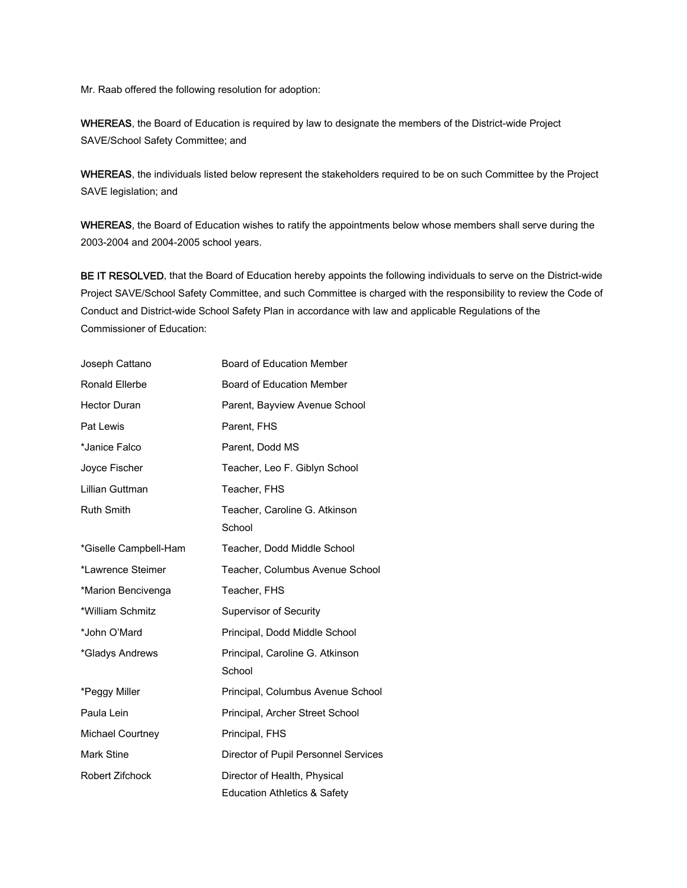Mr. Raab offered the following resolution for adoption:

WHEREAS, the Board of Education is required by law to designate the members of the District-wide Project SAVE/School Safety Committee; and

WHEREAS, the individuals listed below represent the stakeholders required to be on such Committee by the Project SAVE legislation; and

WHEREAS, the Board of Education wishes to ratify the appointments below whose members shall serve during the 2003-2004 and 2004-2005 school years.

BE IT RESOLVED, that the Board of Education hereby appoints the following individuals to serve on the District-wide Project SAVE/School Safety Committee, and such Committee is charged with the responsibility to review the Code of Conduct and District-wide School Safety Plan in accordance with law and applicable Regulations of the Commissioner of Education:

| Joseph Cattano          | Board of Education Member                                    |
|-------------------------|--------------------------------------------------------------|
| Ronald Ellerbe          | <b>Board of Education Member</b>                             |
| <b>Hector Duran</b>     | Parent, Bayview Avenue School                                |
| Pat Lewis               | Parent, FHS                                                  |
| *Janice Falco           | Parent, Dodd MS                                              |
| Joyce Fischer           | Teacher, Leo F. Giblyn School                                |
| Lillian Guttman         | Teacher, FHS                                                 |
| Ruth Smith              | Teacher, Caroline G. Atkinson<br>School                      |
| *Giselle Campbell-Ham   | Teacher, Dodd Middle School                                  |
| *Lawrence Steimer       | Teacher, Columbus Avenue School                              |
| *Marion Bencivenga      | Teacher, FHS                                                 |
| *William Schmitz        | <b>Supervisor of Security</b>                                |
| *John O'Mard            | Principal, Dodd Middle School                                |
| *Gladys Andrews         | Principal, Caroline G. Atkinson<br>School                    |
| *Peggy Miller           | Principal, Columbus Avenue School                            |
| Paula Lein              | Principal, Archer Street School                              |
| <b>Michael Courtney</b> | Principal, FHS                                               |
| Mark Stine              | Director of Pupil Personnel Services                         |
| <b>Robert Zifchock</b>  | Director of Health, Physical<br>Education Athletics & Safety |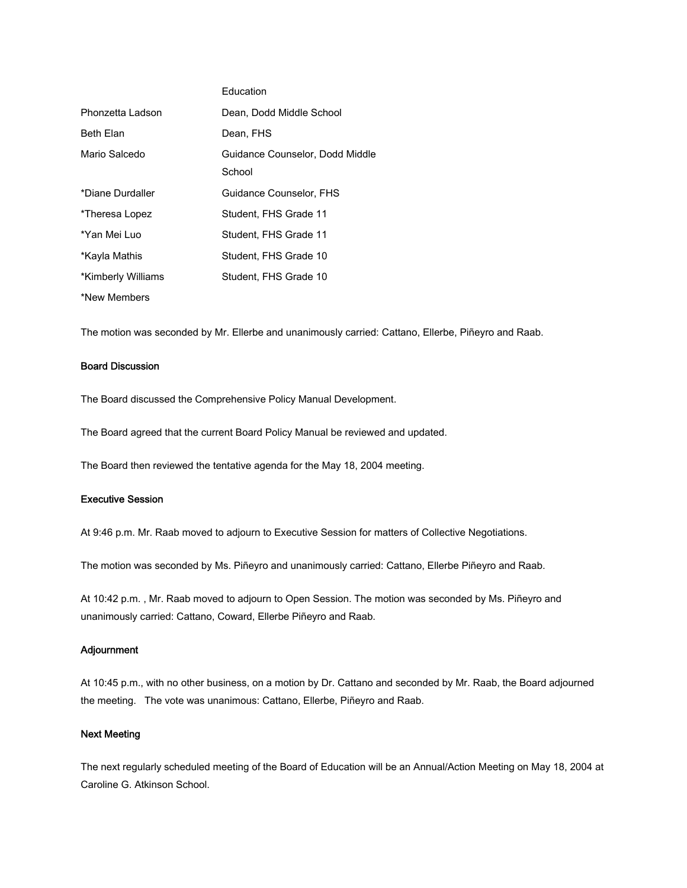|                    | Education                                 |
|--------------------|-------------------------------------------|
| Phonzetta Ladson   | Dean, Dodd Middle School                  |
| <b>Beth Elan</b>   | Dean, FHS                                 |
| Mario Salcedo      | Guidance Counselor, Dodd Middle<br>School |
| *Diane Durdaller   | Guidance Counselor, FHS                   |
| *Theresa Lopez     | Student, FHS Grade 11                     |
| *Yan Mei Luo       | Student, FHS Grade 11                     |
| *Kayla Mathis      | Student, FHS Grade 10                     |
| *Kimberly Williams | Student, FHS Grade 10                     |
| *New Members       |                                           |

The motion was seconded by Mr. Ellerbe and unanimously carried: Cattano, Ellerbe, Piñeyro and Raab.

## Board Discussion

The Board discussed the Comprehensive Policy Manual Development.

The Board agreed that the current Board Policy Manual be reviewed and updated.

The Board then reviewed the tentative agenda for the May 18, 2004 meeting.

## Executive Session

At 9:46 p.m. Mr. Raab moved to adjourn to Executive Session for matters of Collective Negotiations.

The motion was seconded by Ms. Piñeyro and unanimously carried: Cattano, Ellerbe Piñeyro and Raab.

At 10:42 p.m. , Mr. Raab moved to adjourn to Open Session. The motion was seconded by Ms. Piñeyro and unanimously carried: Cattano, Coward, Ellerbe Piñeyro and Raab.

#### Adjournment

At 10:45 p.m., with no other business, on a motion by Dr. Cattano and seconded by Mr. Raab, the Board adjourned the meeting. The vote was unanimous: Cattano, Ellerbe, Piñeyro and Raab.

#### Next Meeting

The next regularly scheduled meeting of the Board of Education will be an Annual/Action Meeting on May 18, 2004 at Caroline G. Atkinson School.